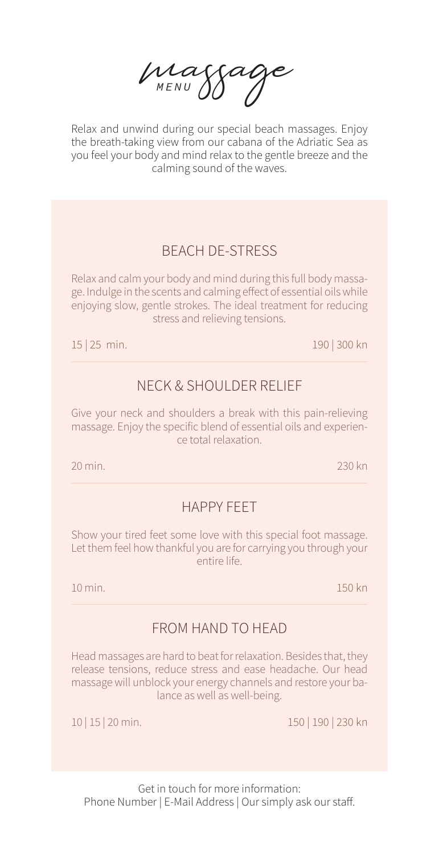massage *MENU*

Relax and unwind during our special beach massages. Enjoy the breath-taking view from our cabana of the Adriatic Sea as you feel your body and mind relax to the gentle breeze and the calming sound of the waves.

## BEACH DE-STRESS

Relax and calm your body and mind during this full body massage. Indulge in the scents and calming effect of essential oils while enjoying slow, gentle strokes. The ideal treatment for reducing stress and relieving tensions.

15 | 25 min. 190 | 300 kn

## NECK & SHOULDER RELIEF

Give your neck and shoulders a break with this pain-relieving massage. Enjoy the specific blend of essential oils and experience total relaxation.

20 min. 230 kn

## HAPPY FEET

Show your tired feet some love with this special foot massage. Let them feel how thankful you are for carrying you through your entire life.

10 min. 150 kn

## FROM HAND TO HEAD

Head massages are hard to beat for relaxation. Besides that, they release tensions, reduce stress and ease headache. Our head massage will unblock your energy channels and restore your balance as well as well-being.

10 | 15 | 20 min. 150 | 190 | 230 kn

Get in touch for more information: Phone Number | E-Mail Address | Our simply ask our staff.